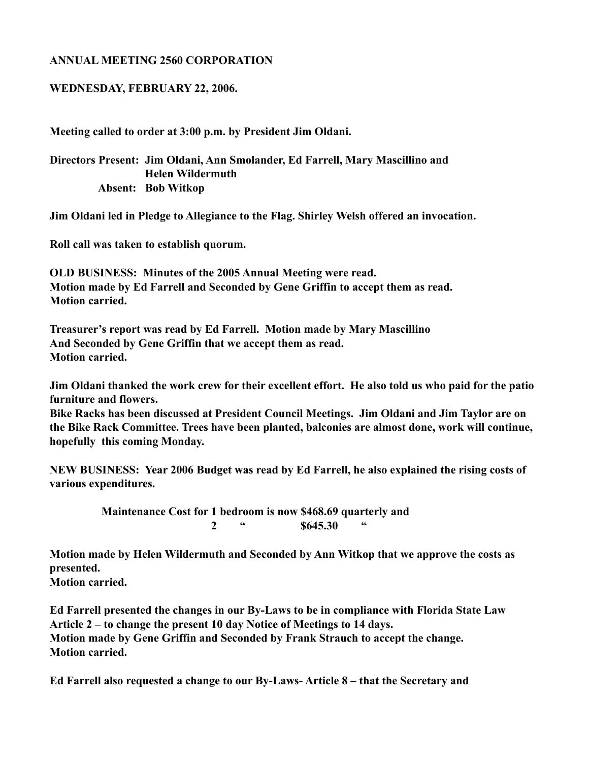## **ANNUAL MEETING 2560 CORPORATION**

## **WEDNESDAY, FEBRUARY 22, 2006.**

**Meeting called to order at 3:00 p.m. by President Jim Oldani.**

**Directors Present: Jim Oldani, Ann Smolander, Ed Farrell, Mary Mascillino and Helen Wildermuth Absent: Bob Witkop**

**Jim Oldani led in Pledge to Allegiance to the Flag. Shirley Welsh offered an invocation.**

**Roll call was taken to establish quorum.**

**OLD BUSINESS: Minutes of the 2005 Annual Meeting were read. Motion made by Ed Farrell and Seconded by Gene Griffin to accept them as read. Motion carried.**

**Treasurer's report was read by Ed Farrell. Motion made by Mary Mascillino And Seconded by Gene Griffin that we accept them as read. Motion carried.**

**Jim Oldani thanked the work crew for their excellent effort. He also told us who paid for the patio furniture and flowers.**

**Bike Racks has been discussed at President Council Meetings. Jim Oldani and Jim Taylor are on the Bike Rack Committee. Trees have been planted, balconies are almost done, work will continue, hopefully this coming Monday.**

**NEW BUSINESS: Year 2006 Budget was read by Ed Farrell, he also explained the rising costs of various expenditures.**

> **Maintenance Cost for 1 bedroom is now \$468.69 quarterly and** 2 " \$645.30

**Motion made by Helen Wildermuth and Seconded by Ann Witkop that we approve the costs as presented.**

**Motion carried.**

**Ed Farrell presented the changes in our By-Laws to be in compliance with Florida State Law Article 2 – to change the present 10 day Notice of Meetings to 14 days. Motion made by Gene Griffin and Seconded by Frank Strauch to accept the change. Motion carried.**

**Ed Farrell also requested a change to our By-Laws- Article 8 – that the Secretary and**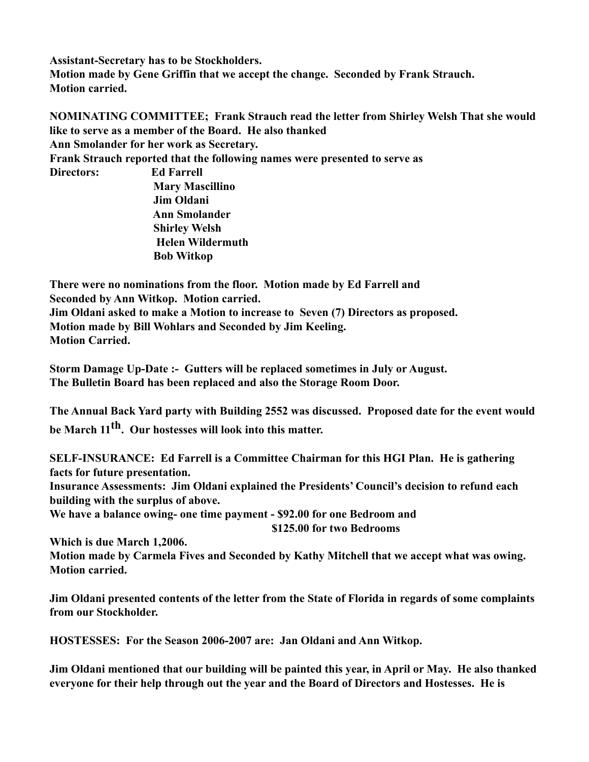**Assistant-Secretary has to be Stockholders. Motion made by Gene Griffin that we accept the change. Seconded by Frank Strauch. Motion carried.**

**NOMINATING COMMITTEE; Frank Strauch read the letter from Shirley Welsh That she would like to serve as a member of the Board. He also thanked Ann Smolander for her work as Secretary. Frank Strauch reported that the following names were presented to serve as Directors: Ed Farrell Mary Mascillino Jim Oldani Ann Smolander Shirley Welsh Helen Wildermuth**

 **Bob Witkop**

**There were no nominations from the floor. Motion made by Ed Farrell and Seconded by Ann Witkop. Motion carried. Jim Oldani asked to make a Motion to increase to Seven (7) Directors as proposed. Motion made by Bill Wohlars and Seconded by Jim Keeling. Motion Carried.**

**Storm Damage Up-Date :- Gutters will be replaced sometimes in July or August. The Bulletin Board has been replaced and also the Storage Room Door.**

**The Annual Back Yard party with Building 2552 was discussed. Proposed date for the event would be March 11th. Our hostesses will look into this matter.**

**SELF-INSURANCE: Ed Farrell is a Committee Chairman for this HGI Plan. He is gathering facts for future presentation.**

**Insurance Assessments: Jim Oldani explained the Presidents' Council's decision to refund each building with the surplus of above.**

**We have a balance owing- one time payment - \$92.00 for one Bedroom and \$125.00 for two Bedrooms**

**Which is due March 1,2006.**

**Motion made by Carmela Fives and Seconded by Kathy Mitchell that we accept what was owing. Motion carried.**

**Jim Oldani presented contents of the letter from the State of Florida in regards of some complaints from our Stockholder.**

**HOSTESSES: For the Season 2006-2007 are: Jan Oldani and Ann Witkop.**

**Jim Oldani mentioned that our building will be painted this year, in April or May. He also thanked everyone for their help through out the year and the Board of Directors and Hostesses. He is**